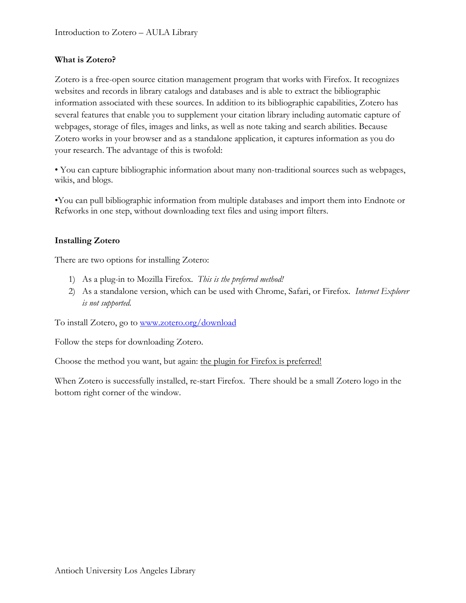## **What is Zotero?**

Zotero is a free-open source citation management program that works with Firefox. It recognizes websites and records in library catalogs and databases and is able to extract the bibliographic information associated with these sources. In addition to its bibliographic capabilities, Zotero has several features that enable you to supplement your citation library including automatic capture of webpages, storage of files, images and links, as well as note taking and search abilities. Because Zotero works in your browser and as a standalone application, it captures information as you do your research. The advantage of this is twofold:

• You can capture bibliographic information about many non-traditional sources such as webpages, wikis, and blogs.

•You can pull bibliographic information from multiple databases and import them into Endnote or Refworks in one step, without downloading text files and using import filters.

### **Installing Zotero**

There are two options for installing Zotero:

- 1) As a plug-in to Mozilla Firefox. *This is the preferred method!*
- 2) As a standalone version, which can be used with Chrome, Safari, or Firefox. *Internet Explorer is not supported.*

To install Zotero, go to<www.zotero.org/download>

Follow the steps for downloading Zotero.

Choose the method you want, but again: the plugin for Firefox is preferred!

When Zotero is successfully installed, re-start Firefox. There should be a small Zotero logo in the bottom right corner of the window.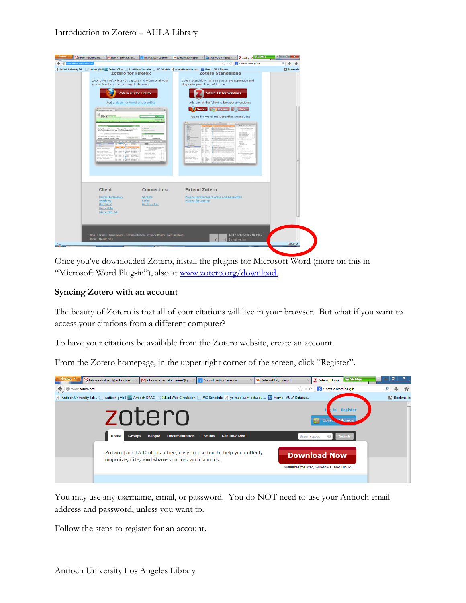### Introduction to Zotero – AULA Library

| Firefox <b>*</b><br>M Inbox - rhalpern@anti                                                                                                    | MInbox - rebeccakathari                                                                                                                                                                                                                                                                                                                                                                                                                                                                                                             | Antioch.edu - Calendar                                      | ** Zotero2012quide.pdf                     | zotero-jz-Spring2013 - ×                                                                                                                                                                                                                                                     | Z Zotero   De <sup>127</sup> McAfee                                                                | - <b>- - - - - -</b> | ×                  |
|------------------------------------------------------------------------------------------------------------------------------------------------|-------------------------------------------------------------------------------------------------------------------------------------------------------------------------------------------------------------------------------------------------------------------------------------------------------------------------------------------------------------------------------------------------------------------------------------------------------------------------------------------------------------------------------------|-------------------------------------------------------------|--------------------------------------------|------------------------------------------------------------------------------------------------------------------------------------------------------------------------------------------------------------------------------------------------------------------------------|----------------------------------------------------------------------------------------------------|----------------------|--------------------|
| www.zotero.org/download/                                                                                                                       |                                                                                                                                                                                                                                                                                                                                                                                                                                                                                                                                     |                                                             |                                            |                                                                                                                                                                                                                                                                              | $\left \frac{1}{\sqrt{2}}\right  \leq C'$   $\left \frac{1}{\sqrt{2}}\right $ = zotero word plugin | م                    |                    |
| A Antioch University Sak C Antioch gMail [88] Antioch OPAC C ILLiad Web Circulation C WC Schedule A ys-media.antioch.edu B Home - AULA Databas | <b>Zotero for Firefox</b><br>Zotero for Firefox lets you capture and organize all your<br>research without ever leaving the browser.<br>Zotero 4.0 for Firefox<br>Add a plugin for Word or LibreOffice<br>PLOS NORTH<br>Early Clinical Features of Dengue Virus Infection in<br>Nicaraguan Children: A Longitudinal Analysis<br>Artist   Marke   Report Corner   Guerrante #<br>tope H. Biswaw <sup>1</sup> , Oscar Ortega <sup>2</sup> , Aubres<br>dea <sup>14</sup> . Katharina Standier <sup>1</sup> , Anna<br>an Indonesia Mana | يبسم رقبا<br><b>BASIC AREA</b><br><b>G MACANIA</b>          |                                            | <b>Zotero Standalone</b><br>Zotero Standalone runs as a separate application and<br>plugs into your choice of browser.<br>Zotero 4.0 for Windows<br>Add one of the following browser extensions:<br>Firefox Chrome & Safari<br>Plugins for Word and LibreOffice are included | $273 - 14$                                                                                         |                      | <b>D</b> Bookmarks |
|                                                                                                                                                | <b>Client</b><br><b>Firefox Extension</b><br><b>Windows</b><br>Mac OS X<br>Linux i686<br><b>Linux x86 64</b>                                                                                                                                                                                                                                                                                                                                                                                                                        | <b>Connectors</b><br>Chrome<br>Safari<br><b>Bookmarklet</b> | <b>Extend Zotero</b><br>Plugins for Zotero | Plugins for Microsoft Word and LibreOffice                                                                                                                                                                                                                                   |                                                                                                    |                      |                    |
| <b>About - Mobile Site</b>                                                                                                                     | Blog Forums Developers Documentation Privacy Policy Get Involved                                                                                                                                                                                                                                                                                                                                                                                                                                                                    |                                                             |                                            | Center FOR<br>нΙ                                                                                                                                                                                                                                                             | <b>ROY ROSENZWEIG</b>                                                                              |                      |                    |

Once you've downloaded Zotero, install the plugins for Microsoft Word (more on this in "Microsoft Word Plug-in"), also at [www.zotero.org/download.](www.zotero.org/download)

#### **Syncing Zotero with an account**

The beauty of Zotero is that all of your citations will live in your browser. But what if you want to access your citations from a different computer?

To have your citations be available from the Zotero website, create an account.

From the Zotero homepage, in the upper-right corner of the screen, click "Register".



You may use any username, email, or password. You do NOT need to use your Antioch email address and password, unless you want to.

Follow the steps to register for an account.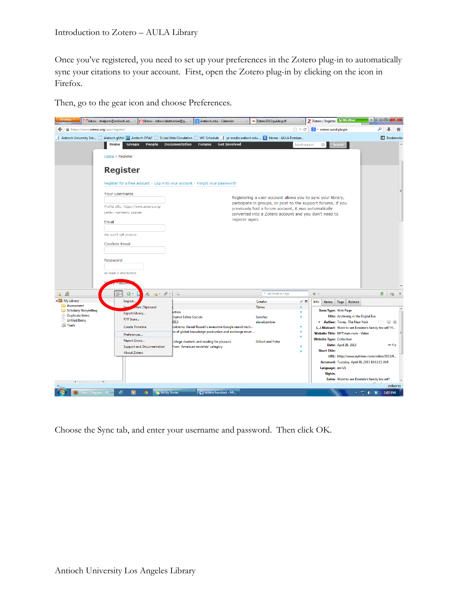Once you've registered, you need to set up your preferences in the Zotero plug-in to automatically sync your citations to your account. First, open the Zotero plug-in by clicking on the icon in Firefox.

Then, go to the gear icon and choose Preferences.

| Firefox <b>v</b><br>Inbox - rhalpern@antioch.ed                                                                                                                                | MInbox - rebeccakatharine@g                                                  | Antioch.edu - Calendar                               | ◆ Zotero2012quide.pdf                                                                                                |                                | Z Zotero   Register McAfee                                                                  |                      |                  |
|--------------------------------------------------------------------------------------------------------------------------------------------------------------------------------|------------------------------------------------------------------------------|------------------------------------------------------|----------------------------------------------------------------------------------------------------------------------|--------------------------------|---------------------------------------------------------------------------------------------|----------------------|------------------|
| https://www.zotero.org/user/register/<br>←                                                                                                                                     |                                                                              |                                                      |                                                                                                                      | $\mathbb{C} \times \mathbb{C}$ | $8 -$ zotero word plugin                                                                    | م                    |                  |
| $A$ Antioch University Sak $\Box$ Antioch gMail $\mathbb{R}$ Antioch OPAC $\Box$ ILLiad Web Circulation $\Box$ WC Schedule $A$ ys-media.antioch.edu $\Box$ Home - AULA Databas |                                                                              |                                                      |                                                                                                                      |                                |                                                                                             |                      | <b>Bookmarks</b> |
| <b>Groups</b><br>Home                                                                                                                                                          | <b>People</b><br><b>Documentation</b>                                        | <b>Forums</b><br><b>Get Involved</b>                 |                                                                                                                      | Search support                 | Search<br>$\circ$                                                                           |                      |                  |
| Home > Register                                                                                                                                                                |                                                                              |                                                      |                                                                                                                      |                                |                                                                                             |                      |                  |
| <b>Register</b>                                                                                                                                                                |                                                                              |                                                      |                                                                                                                      |                                |                                                                                             |                      |                  |
|                                                                                                                                                                                | Register for a free account · Log in to your account · Forgot your password? |                                                      |                                                                                                                      |                                |                                                                                             |                      |                  |
| Your username                                                                                                                                                                  |                                                                              |                                                      | Registering a user account allows you to sync your library,                                                          |                                |                                                                                             |                      |                  |
| Profile URL: https://www.zotero.org/                                                                                                                                           |                                                                              |                                                      | participate in groups, or post to the support forums. If you<br>previously had a forum account, it was automatically |                                |                                                                                             |                      |                  |
| Letter, numbers, spaces                                                                                                                                                        |                                                                              |                                                      | converted into a Zotero account and you don't need to                                                                |                                |                                                                                             |                      |                  |
| Email                                                                                                                                                                          |                                                                              | register again.                                      |                                                                                                                      |                                |                                                                                             |                      |                  |
| We won't tell anyone                                                                                                                                                           |                                                                              |                                                      |                                                                                                                      |                                |                                                                                             |                      |                  |
| <b>Confirm Email</b>                                                                                                                                                           |                                                                              |                                                      |                                                                                                                      |                                |                                                                                             |                      |                  |
| Password                                                                                                                                                                       |                                                                              |                                                      |                                                                                                                      |                                |                                                                                             |                      |                  |
| At least 6 characters<br>ass <sup>-</sup>                                                                                                                                      |                                                                              |                                                      |                                                                                                                      |                                |                                                                                             |                      |                  |
| 18 岛<br>$\odot$<br>ू} ∙                                                                                                                                                        | $\mathcal{E}_{0}$ . $\mathcal{O}_{1}$ .                                      |                                                      | * All Fields & Tags                                                                                                  |                                | . c                                                                                         | C                    | 5                |
| 4 <sup>2</sup> My Library<br>Import.                                                                                                                                           |                                                                              |                                                      | Creator                                                                                                              | 9 €                            | Info<br>Related<br><b>Notes</b><br>Tags                                                     |                      |                  |
| Assessment<br>Scholarly Storytelling                                                                                                                                           | rom Clipboard<br>ction                                                       |                                                      | <b>Times</b>                                                                                                         |                                | <b>Item Type: Web Page</b>                                                                  |                      |                  |
| Export Library<br><b>Duplicate Items</b><br>RTF Scan<br><b>Unfiled Items</b>                                                                                                   | mpted Editor Suicide                                                         |                                                      | Sanchez                                                                                                              |                                | Title: Archiving in the Digital Era                                                         |                      |                  |
| <b>S</b> Trash<br><b>Create Timeline</b>                                                                                                                                       | 2013                                                                         | roblems: Daniel Russell's awesome Google search tech | alanakumbier                                                                                                         |                                | * Author: Times, The New York                                                               |                      | $\odot$ $\odot$  |
| Preferences                                                                                                                                                                    |                                                                              | cs of global knowledge production and exchange must  |                                                                                                                      |                                | () Abstract: Want to see Einstein's family tea set? H<br>Website Title: NYTimes.com - Video |                      |                  |
| <b>Report Errors</b>                                                                                                                                                           |                                                                              | <b>College students and reading for pleasure</b>     | <b>Gilbert and Fister</b>                                                                                            |                                | <b>Website Type: Collection</b>                                                             |                      |                  |
|                                                                                                                                                                                | <b>Support and Documentation</b>                                             | from 'American novelists' category                   |                                                                                                                      |                                | Date: April 28, 2013                                                                        |                      | m d v            |
| <b>About Zotero</b>                                                                                                                                                            |                                                                              |                                                      |                                                                                                                      |                                | <b>Short Title:</b><br>URL: http://www.nytimes.com/video/2013/0                             |                      |                  |
|                                                                                                                                                                                |                                                                              |                                                      |                                                                                                                      |                                | Accessed: Tuesday, April 30, 2013 10:12:11 AM                                               |                      |                  |
|                                                                                                                                                                                |                                                                              |                                                      |                                                                                                                      |                                | Language: en-US                                                                             |                      |                  |
|                                                                                                                                                                                |                                                                              |                                                      |                                                                                                                      |                                | <b>Rights:</b>                                                                              |                      |                  |
|                                                                                                                                                                                |                                                                              |                                                      |                                                                                                                      |                                | Extra: Want to see Einstein's family tea set?                                               |                      | zotero           |
| p<br><sup>3</sup> Zotero   Register - M<br>$\bullet$                                                                                                                           | <b>Ca</b> Sticky Notes                                                       | zotero handout - Mi                                  |                                                                                                                      |                                |                                                                                             | 1:02 PM<br>▲ ロ (1) 翁 |                  |

Choose the Sync tab, and enter your username and password. Then click OK.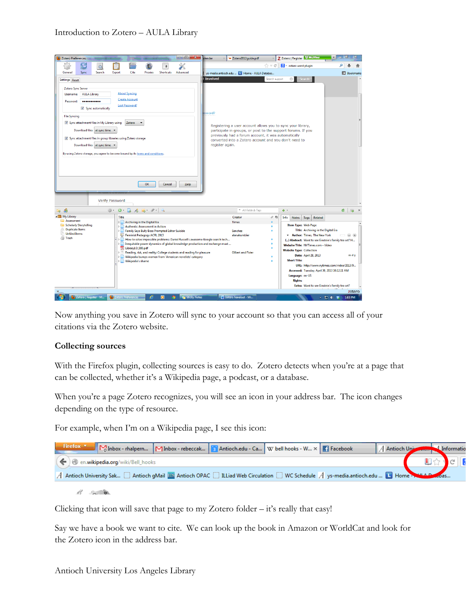

Now anything you save in Zotero will sync to your account so that you can access all of your citations via the Zotero website.

# **Collecting sources**

With the Firefox plugin, collecting sources is easy to do. Zotero detects when you're at a page that can be collected, whether it's a Wikipedia page, a podcast, or a database.

When you're a page Zotero recognizes, you will see an icon in your address bar. The icon changes depending on the type of resource.

For example, when I'm on a Wikipedia page, I see this icon:

| Firefox <b>v</b><br>Minbox - rhalpern Minbox - rebeccak 3 Antioch.edu - Ca W bell hooks - W x Fi Facebook                            |  |  | A Antioch University A Informatio |  |
|--------------------------------------------------------------------------------------------------------------------------------------|--|--|-----------------------------------|--|
| $(\blacklozenge)$ en.wikipedia.org/wiki/Bell_hooks                                                                                   |  |  |                                   |  |
| A Antioch University Sak C Antioch gMail <b>EX</b> Antioch OPAC C ILLiad Web Circulation C WC Schedule A ys-media.antioch.edu B Home |  |  |                                   |  |
|                                                                                                                                      |  |  |                                   |  |

Clicking that icon will save that page to my Zotero folder – it's really that easy!

Say we have a book we want to cite. We can look up the book in Amazon or WorldCat and look for the Zotero icon in the address bar.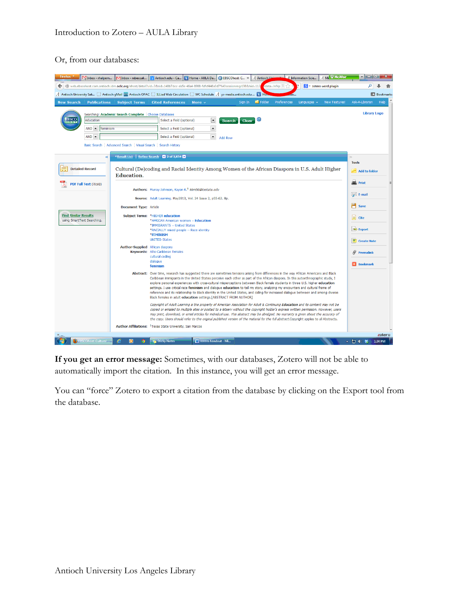#### Or, from our databases:



**If you get an error message:** Sometimes, with our databases, Zotero will not be able to automatically import the citation. In this instance, you will get an error message.

You can "force" Zotero to export a citation from the database by clicking on the Export tool from the database.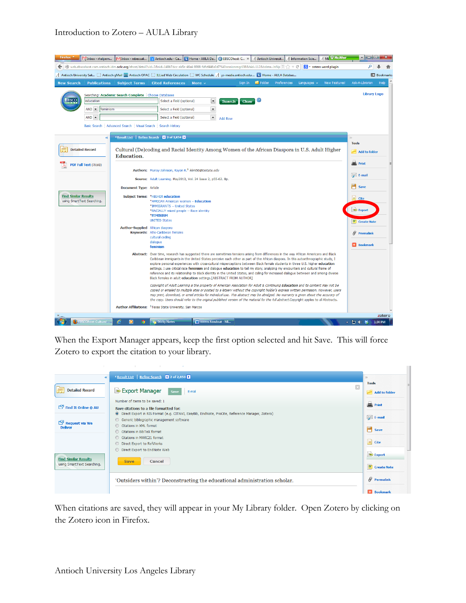## Introduction to Zotero – AULA Library

| Firefox *<br>Inbox - rhalpern                                                                                                                                                   | MInbox - rebeccak                | Antioch.edu - Ca   Home - AULA Da   BEBSCOhost: C x   A Antioch Universit                                                                                                                                                                                                                                                                                                                                                                                                                                                                                                                                                                                                                                                                                |                                                                             |                                          |        |             | A Information Scie                | A Mi W McAfee        | a matalo                                                          |                     |
|---------------------------------------------------------------------------------------------------------------------------------------------------------------------------------|----------------------------------|----------------------------------------------------------------------------------------------------------------------------------------------------------------------------------------------------------------------------------------------------------------------------------------------------------------------------------------------------------------------------------------------------------------------------------------------------------------------------------------------------------------------------------------------------------------------------------------------------------------------------------------------------------------------------------------------------------------------------------------------------------|-----------------------------------------------------------------------------|------------------------------------------|--------|-------------|-----------------------------------|----------------------|-------------------------------------------------------------------|---------------------|
| Web.ebscohost.com.antioch.idm.oclc.org/ehost/detail?vid=3&sid=148b7dcc-ab5e-46a4-8908-fdfcf446a0d7%40sessionmgr198&hid=112&bdata=JnNp                                           |                                  |                                                                                                                                                                                                                                                                                                                                                                                                                                                                                                                                                                                                                                                                                                                                                          |                                                                             |                                          |        |             | $\mathbb{R}$ - zotero word plugin |                      | م                                                                 |                     |
| A Antioch University Sak   Antioch qMail $\overline{\text{res}}$ Antioch OPAC   ILLiad Web Circulation   WC Schedule A vs-media.antioch.edu      Home - AULA Databas            |                                  |                                                                                                                                                                                                                                                                                                                                                                                                                                                                                                                                                                                                                                                                                                                                                          |                                                                             |                                          |        |             |                                   |                      |                                                                   | <b>ID</b> Bookmarks |
| <b>Publications</b><br><b>New Search</b>                                                                                                                                        | <b>Subject Terms</b>             | <b>Cited References</b>                                                                                                                                                                                                                                                                                                                                                                                                                                                                                                                                                                                                                                                                                                                                  | More $\sim$                                                                 | Sion In                                  | Folder | Preferences | Languages $\sim$                  | <b>New Features!</b> | Ask-A-Librarian                                                   | Help                |
| Searching: Academic Search Complete Choose Databases<br>EBSCO<br>education<br>$AND -$<br>feminism<br>$AND -$<br>Basic Search   Advanced Search   Visual Search   Search History |                                  | Select a Field (optional)<br>Select a Field (optional)<br>Select a Field (optional)                                                                                                                                                                                                                                                                                                                                                                                                                                                                                                                                                                                                                                                                      | $\overline{\phantom{a}}$<br>$\overline{\phantom{a}}$<br>$\vert \cdot \vert$ | <b>Search</b><br>Clear<br><b>Add Row</b> | œ      |             |                                   |                      | <b>Library Logo</b>                                               |                     |
| $\ll$                                                                                                                                                                           |                                  | KResult List   Refine Search   X 2 of 2,834 D                                                                                                                                                                                                                                                                                                                                                                                                                                                                                                                                                                                                                                                                                                            |                                                                             |                                          |        |             |                                   |                      |                                                                   |                     |
| <b>Detailed Record</b>                                                                                                                                                          | <b>Education.</b>                | Cultural (De)coding and Racial Identity Among Women of the African Diaspora in U.S. Adult Higher                                                                                                                                                                                                                                                                                                                                                                                                                                                                                                                                                                                                                                                         |                                                                             |                                          |        |             |                                   |                      | <b>Tools</b><br>Add to folder                                     |                     |
| PDF Full Text (781KB)                                                                                                                                                           | <b>Document Type: Article</b>    | Authors: Murray-Johnson, Kayon K. <sup>1</sup> kkm56@txstate.edu<br>Source: Adult Learning. May2013, Vol. 24 Issue 2, p55-62. 8p.                                                                                                                                                                                                                                                                                                                                                                                                                                                                                                                                                                                                                        |                                                                             |                                          |        |             |                                   |                      | 兰 Print<br>E-mail<br>٣<br>Save                                    |                     |
| <b>Find Similar Results</b><br>using SmartText Searching.                                                                                                                       |                                  | Subject Terms: *HIGHER education<br>*AFRICAN American women -- Education<br>*IMMIGRANTS -- United States<br>*RACIALLY mixed people -- Race identity<br>*FEMINISM<br><b>UNITED States</b>                                                                                                                                                                                                                                                                                                                                                                                                                                                                                                                                                                 |                                                                             |                                          |        |             |                                   |                      | <b>E</b> Cite<br>$\Rightarrow$ Export<br><sup>O</sup> Create Note |                     |
|                                                                                                                                                                                 | Author-Supplied African diaspora | Keywords: Afro-Caribbean females<br>cultural coding<br>dialogue<br>feminism                                                                                                                                                                                                                                                                                                                                                                                                                                                                                                                                                                                                                                                                              |                                                                             |                                          |        |             |                                   |                      | $\theta$ Permalink<br><b>Bookmark</b>                             |                     |
|                                                                                                                                                                                 |                                  | Abstract: Over time, research has suggested there are sometimes tensions arising from differences in the way African Americans and Black<br>Caribbean immigrants in the United States perceive each other as part of the African diaspora. In this autoethnographic study, I<br>explore personal experiences with cross-cultural misperceptions between Black female students in three U.S. higher education<br>settings. I use critical race feminism and dialogue education to tell my story, analyzing my encounters and cultural frame of<br>reference and its relationship to Black identity in the United States, and calling for increased dialogue between and among diverse<br>Black females in adult education settings.[ABSTRACT FROM AUTHOR] |                                                                             |                                          |        |             |                                   |                      |                                                                   |                     |
|                                                                                                                                                                                 |                                  | Copyright of Adult Learning is the property of American Association for Adult & Continuing Education and its content may not be<br>copied or emailed to multiple sites or posted to a listserv without the copyright holder's express written permission. However, users<br>may print, download, or email articles for individual use. This abstract may be abridged. No warranty is given about the accuracy of<br>the copy. Users should refer to the original published version of the material for the full abstract.Copyright applies to all Abstracts.<br>Author Affiliations: <sup>1</sup> Texas State University, San Marcos                                                                                                                     |                                                                             |                                          |        |             |                                   |                      |                                                                   |                     |
|                                                                                                                                                                                 |                                  |                                                                                                                                                                                                                                                                                                                                                                                                                                                                                                                                                                                                                                                                                                                                                          |                                                                             |                                          |        |             |                                   |                      |                                                                   | zotero              |
| <b>EBSCOhost: Cultural</b>                                                                                                                                                      | o                                | <b>12 Sticky Notes</b>                                                                                                                                                                                                                                                                                                                                                                                                                                                                                                                                                                                                                                                                                                                                   | Zotero handout - Mi                                                         |                                          |        |             |                                   |                      | ▲ 日 (0) 貉                                                         | 1:34 PM             |

When the Export Manager appears, keep the first option selected and hit Save. This will force Zotero to export the citation to your library.

| $\ll$                                    | <b>Kesult List</b>   Refine Search   2 of 2,850   2                                               | $\rightarrow$        |
|------------------------------------------|---------------------------------------------------------------------------------------------------|----------------------|
|                                          | X                                                                                                 | <b>Tools</b>         |
| <b>Detailed Record</b><br>辰              | Export Manager<br>E-mail<br>Save                                                                  | Add to folder        |
|                                          | Number of items to be saved: 1                                                                    |                      |
| $\Box$ Find It Online @ AU               | Save citations to a file formatted for:                                                           | Print                |
|                                          | O Direct Export in RIS Format (e.g. CITAVI, EasyBib, EndNote, ProCite, Reference Manager, Zotero) | $\mathbb{R}$ E-mail  |
| $\mathbb{E}^{\mathbb{P}}$ Request via We | Generic bibliographic management software                                                         |                      |
| <b>Deliver</b>                           | Citations in XML format                                                                           | Save                 |
|                                          | Citations in BibTeX format                                                                        |                      |
|                                          | Citations in MARC21 format                                                                        | $\Box$ Cite          |
|                                          | <b>O</b> Direct Export to RefWorks                                                                |                      |
|                                          | <b>O</b> Direct Export to EndNote Web                                                             | $\Rightarrow$ Export |
| <b>Find Similar Results</b>              | <b>Save</b><br>Cancel                                                                             |                      |
| using SmartText Searching.               |                                                                                                   | <b>O</b> Create Note |
|                                          |                                                                                                   |                      |
|                                          | 'Outsiders within'? Deconstructing the educational administration scholar.                        | $\theta$ Permalink   |
|                                          |                                                                                                   |                      |
|                                          |                                                                                                   | <b>Bookmark</b>      |

When citations are saved, they will appear in your My Library folder. Open Zotero by clicking on the Zotero icon in Firefox.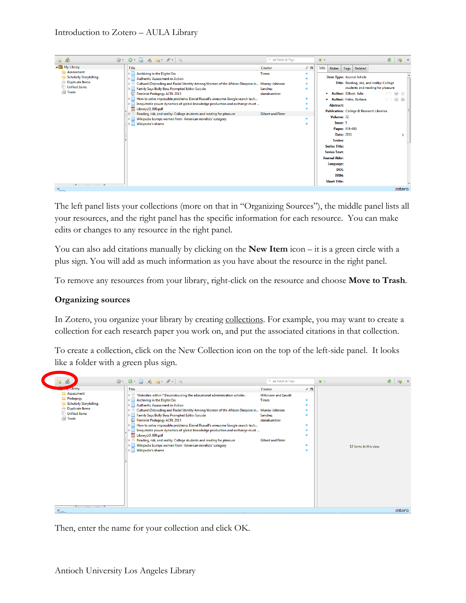| <b>B</b> 86                                                                                            | $\begin{array}{cccccccccccccc} \circledast & \bullet & \bullet & \bullet & \bullet & \circ & \bullet & \circ & \circ \end{array}$                                                                                                                                                                                                                                                                                                                                                                                                                                                                            | * All Fields & Tags                                                  |                            | $\Rightarrow$ - |                                                                                                                                                                                                                      |                                     |                                                              | Ġ.                                                                                                                                  | $\Rightarrow$ x                                      |
|--------------------------------------------------------------------------------------------------------|--------------------------------------------------------------------------------------------------------------------------------------------------------------------------------------------------------------------------------------------------------------------------------------------------------------------------------------------------------------------------------------------------------------------------------------------------------------------------------------------------------------------------------------------------------------------------------------------------------------|----------------------------------------------------------------------|----------------------------|-----------------|----------------------------------------------------------------------------------------------------------------------------------------------------------------------------------------------------------------------|-------------------------------------|--------------------------------------------------------------|-------------------------------------------------------------------------------------------------------------------------------------|------------------------------------------------------|
| A My Library                                                                                           | <b>Title</b>                                                                                                                                                                                                                                                                                                                                                                                                                                                                                                                                                                                                 | Creator                                                              | $\mathcal{P}$ $\mathbb{F}$ | Info            | Notes                                                                                                                                                                                                                | <b>Tags</b>                         | Related                                                      |                                                                                                                                     |                                                      |
| Assessment<br><b>Scholarly Storytelling</b><br><b>Duplicate Items</b><br><b>Unfiled Items</b><br>Trash | Archiving in the Digital Era<br><b>Authentic Assessment in Action</b><br>Cultural (De)coding and Racial Identity Among Women of the African Diaspora in Murray-Johnson<br>IЪ<br>Family Says Bully Boss Prompted Editor Suicide<br>Feminist Pedagogy ACRL 2013<br>How to solve impossible problems: Daniel Russell's awesome Google search tech<br>Inequitable power dynamics of global knowledge production and exchange must<br>LibraryLO_000.pdf<br>Reading, risk, and reality: College students and reading for pleasure<br>Wikipedia bumps women from 'American novelists' category<br>Wikipedia's shame | <b>Times</b><br>Sanchez<br>alanakumbier<br><b>Gilbert and Fister</b> |                            |                 | * Author: Gilbert, Julie<br><b>Abstract:</b><br>Volume: 72<br>Issue: 5<br>Series:<br><b>Series Title:</b><br><b>Series Text:</b><br><b>Journal Abbr:</b><br>Language:<br>DOI:<br><b>ISSN:</b><br><b>Short Title:</b> | Pages: 474-495<br><b>Date: 2011</b> | <b>Item Type: Journal Article</b><br>Author: Fister, Barbara | Title: Reading, risk, and reality: College<br>students and reading for pleasure<br><b>Publication:</b> College & Research Libraries | $\Box$ $\Theta$ $\oplus$<br>$\Box$ $\Theta$ $\Theta$ |
| $x_{-}$                                                                                                |                                                                                                                                                                                                                                                                                                                                                                                                                                                                                                                                                                                                              |                                                                      |                            |                 |                                                                                                                                                                                                                      |                                     |                                                              |                                                                                                                                     | zotero                                               |

The left panel lists your collections (more on that in "Organizing Sources"), the middle panel lists all your resources, and the right panel has the specific information for each resource. You can make edits or changes to any resource in the right panel.

You can also add citations manually by clicking on the **New Item** icon – it is a green circle with a plus sign. You will add as much information as you have about the resource in the right panel.

To remove any resources from your library, right-click on the resource and choose **Move to Trash**.

### **Organizing sources**

In Zotero, you organize your library by creating collections. For example, you may want to create a collection for each research paper you work on, and put the associated citations in that collection.

To create a collection, click on the New Collection icon on the top of the left-side panel. It looks like a folder with a green plus sign.



Then, enter the name for your collection and click OK.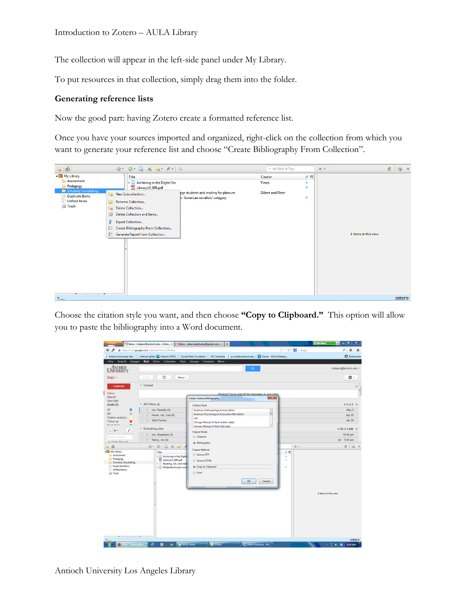The collection will appear in the left-side panel under My Library.

To put resources in that collection, simply drag them into the folder.

### **Generating reference lists**

Now the good part: having Zotero create a formatted reference list.

Once you have your sources imported and organized, right-click on the collection from which you want to generate your reference list and choose "Create Bibliography From Collection".



Choose the citation style you want, and then choose **"Copy to Clipboard."** This option will allow you to paste the bibliography into a Word document.

| Firefox *                                               | Minbox - malpern@antioch.edu - Antio × Minbox - rebeccakatharine@gmail.com        | ÷                                                                                                                                                    |                                                                             | <b>W</b> McAfee<br>c                         |
|---------------------------------------------------------|-----------------------------------------------------------------------------------|------------------------------------------------------------------------------------------------------------------------------------------------------|-----------------------------------------------------------------------------|----------------------------------------------|
| ۸                                                       | https://mail.google.com/mail/u/0/?shva=1#inbox                                    |                                                                                                                                                      | $\uparrow$ $\uparrow$ $\vee$ $\circ$ $\blacksquare$ $\blacksquare$ + Google | Ω                                            |
|                                                         |                                                                                   | Antioch University Sak [3] Antioch gMail [83] Antioch OPAC [3] ILLiad Web Circulation [3] WC Schedule A ys-media.antioch.edu [3] Home - AULA Databas |                                                                             | <b>Bookmarks</b>                             |
| +You Search                                             | Images Mail Drive Calendar Sites Groups Contacts More -                           |                                                                                                                                                      |                                                                             |                                              |
| <b>LANTICH</b><br>UNIVERSITY                            |                                                                                   | $Q_{\rm c}$                                                                                                                                          |                                                                             | rhalpern@antioch.edu ~                       |
| Mail +                                                  | C<br>$\Box$ v<br>More v                                                           |                                                                                                                                                      |                                                                             | ¢۰                                           |
| <b>COMPOSE</b>                                          | * Unread                                                                          |                                                                                                                                                      |                                                                             | $\blacksquare$                               |
| Inbox<br><b>Starred</b><br>Sent Mail                    |                                                                                   | Woohoo! You've read all the messages in your inbox<br><b>Create Citation/Bibliography</b>                                                            | $\mathbf{x}$                                                                |                                              |
| Drafts (1)                                              | * All Follow up                                                                   | <b>Citation Style:</b>                                                                                                                               |                                                                             | 1-3 of 3 $\sqrt{ }$                          |
| AT<br>п                                                 | me, Danielle (2)<br>T.T                                                           | American Anthropological Association                                                                                                                 | $\hat{\phantom{a}}$<br>E                                                    | May 2                                        |
| <b>BA</b><br>$\blacksquare$<br><b>Citation analysis</b> | Howie, me, Lisa (6)<br>Y.                                                         | American Psychological Association 6th Edition<br>Cell                                                                                               |                                                                             | Apr 25                                       |
| Follow up<br><b>Const.dants</b>                         | Seth Fischer<br>口立                                                                | Chicago Manual of Style (author-date)                                                                                                                |                                                                             | <b>Jan 24</b>                                |
| c<br>$\stackrel{\circ}{-}$                              | * Everything else                                                                 | Chicago Manual of Style (full note)                                                                                                                  |                                                                             | 1-50 of 1,490 $-$                            |
|                                                         | me, Stephanie (3)<br>TX                                                           | <b>Output Mode:</b>                                                                                                                                  |                                                                             | $10:40$ pm                                   |
| Search people.<br>Cothar Roomall                        | $\Box \Leftrightarrow$ Nancy, me (4)                                              | Citations                                                                                                                                            |                                                                             | <b>■ 9:03 pm</b>                             |
| - ස්                                                    | $\mathcal{D} \cdot \mathbf{O} \cdot \mathbf{D} \cdot \mathbf{A} \cdot \mathbf{E}$ | <sup>O</sup> Bibliography                                                                                                                            | . .                                                                         | $\epsilon$<br>க<br>$\boldsymbol{\mathsf{x}}$ |
| 4 My Library                                            | Title                                                                             | <b>Output Method:</b><br>Save as RTF                                                                                                                 | $\mathcal{P}$ E                                                             |                                              |
| Assessment<br>Pedagogy                                  | Archiving in the Digital<br>LibraryLO_000.pdf                                     |                                                                                                                                                      | ۰<br>ä                                                                      |                                              |
| Scholarly Storytelling                                  | Reading, risk, and reali<br>$\triangleright$                                      | Save as HTML                                                                                                                                         |                                                                             |                                              |
| Duplicate Items<br><b>Unfiled Items</b>                 | <b>Nikipedia bumps wom</b>                                                        | Copy to Clipboard                                                                                                                                    |                                                                             |                                              |
| <b>I</b> rash                                           |                                                                                   | @ Print                                                                                                                                              |                                                                             |                                              |
|                                                         |                                                                                   | OK                                                                                                                                                   | Cancel                                                                      |                                              |
|                                                         |                                                                                   |                                                                                                                                                      |                                                                             | 4 items in this view                         |
|                                                         |                                                                                   |                                                                                                                                                      |                                                                             |                                              |
|                                                         |                                                                                   |                                                                                                                                                      |                                                                             |                                              |
|                                                         |                                                                                   |                                                                                                                                                      |                                                                             |                                              |
|                                                         |                                                                                   |                                                                                                                                                      |                                                                             |                                              |
|                                                         |                                                                                   |                                                                                                                                                      |                                                                             |                                              |
|                                                         |                                                                                   |                                                                                                                                                      |                                                                             |                                              |
|                                                         |                                                                                   |                                                                                                                                                      |                                                                             |                                              |
|                                                         |                                                                                   |                                                                                                                                                      |                                                                             | zotero                                       |
| box - rhalpern@an                                       | e<br>$\bullet$<br>G                                                               | <b>The Sticky Notes</b><br>W zotero handout - Mi<br><b>N</b> Zotero                                                                                  |                                                                             | ▲ 知 (※) 第<br>8:54 AM                         |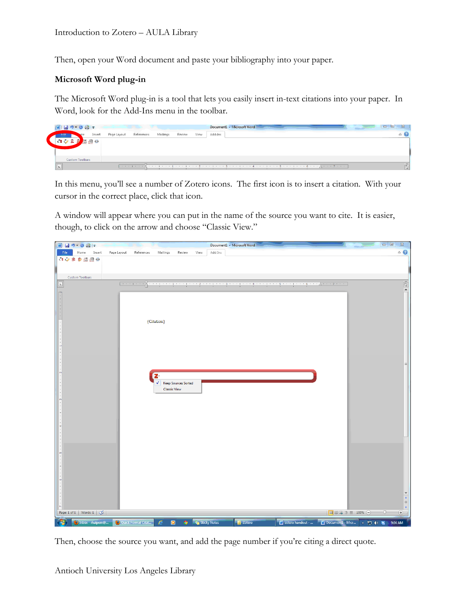Then, open your Word document and paste your bibliography into your paper.

## **Microsoft Word plug-in**

The Microsoft Word plug-in is a tool that lets you easily insert in-text citations into your paper. In Word, look for the Add-Ins menu in the toolbar.



In this menu, you'll see a number of Zotero icons. The first icon is to insert a citation. With your cursor in the correct place, click that icon.

A window will appear where you can put in the name of the source you want to cite. It is easier, though, to click on the arrow and choose "Classic View."



Then, choose the source you want, and add the page number if you're citing a direct quote.